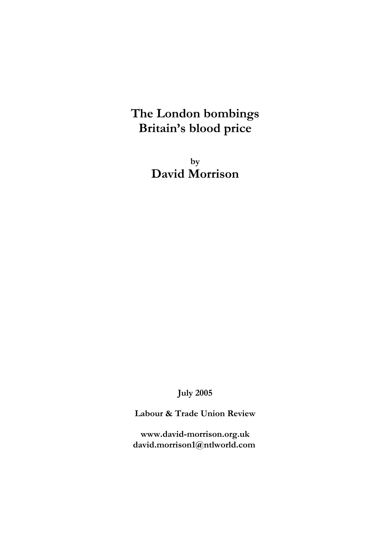# **The London bombings Britain's blood price**

**by David Morrison**

**July 2005**

**Labour & Trade Union Review**

**www.david-morrison.org.uk david.morrison1@ntlworld.com**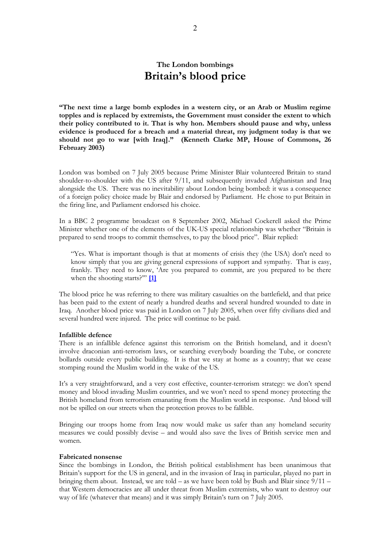# **The London bombings Britain's blood price**

**"The next time a large bomb explodes in a western city, or an Arab or Muslim regime topples and is replaced by extremists, the Government must consider the extent to which their policy contributed to it. That is why hon. Members should pause and why, unless evidence is produced for a breach and a material threat, my judgment today is that we should not go to war [with Iraq]." (Kenneth Clarke MP, House of Commons, 26 February 2003)**

London was bombed on 7 July 2005 because Prime Minister Blair volunteered Britain to stand shoulder-to-shoulder with the US after 9/11, and subsequently invaded Afghanistan and Iraq alongside the US. There was no inevitability about London being bombed: it was a consequence of a foreign policy choice made by Blair and endorsed by Parliament. He chose to put Britain in the firing line, and Parliament endorsed his choice.

In a BBC 2 programme broadcast on 8 September 2002, Michael Cockerell asked the Prime Minister whether one of the elements of the UK-US special relationship was whether "Britain is prepared to send troops to commit themselves, to pay the blood price". Blair replied:

"Yes. What is important though is that at moments of crisis they (the USA) don't need to know simply that you are giving general expressions of support and sympathy. That is easy, frankly. They need to know, 'Are you prepared to commit, are you prepared to be there when the shooting starts?'" **[\[1\]](http://news.bbc.co.uk/1/hi/uk_politics/2239887.stm)**

The blood price he was referring to there was military casualties on the battlefield, and that price has been paid to the extent of nearly a hundred deaths and several hundred wounded to date in Iraq. Another blood price was paid in London on 7 July 2005, when over fifty civilians died and several hundred were injured. The price will continue to be paid.

#### **Infallible defence**

There is an infallible defence against this terrorism on the British homeland, and it doesn't involve draconian anti-terrorism laws, or searching everybody boarding the Tube, or concrete bollards outside every public building. It is that we stay at home as a country; that we cease stomping round the Muslim world in the wake of the US.

It's a very straightforward, and a very cost effective, counter-terrorism strategy: we don't spend money and blood invading Muslim countries, and we won't need to spend money protecting the British homeland from terrorism emanating from the Muslim world in response. And blood will not be spilled on our streets when the protection proves to be fallible.

Bringing our troops home from Iraq now would make us safer than any homeland security measures we could possibly devise – and would also save the lives of British service men and women.

#### **Fabricated nonsense**

Since the bombings in London, the British political establishment has been unanimous that Britain's support for the US in general, and in the invasion of Iraq in particular, played no part in bringing them about. Instead, we are told – as we have been told by Bush and Blair since  $9/11$  – that Western democracies are all under threat from Muslim extremists, who want to destroy our way of life (whatever that means) and it was simply Britain's turn on 7 July 2005.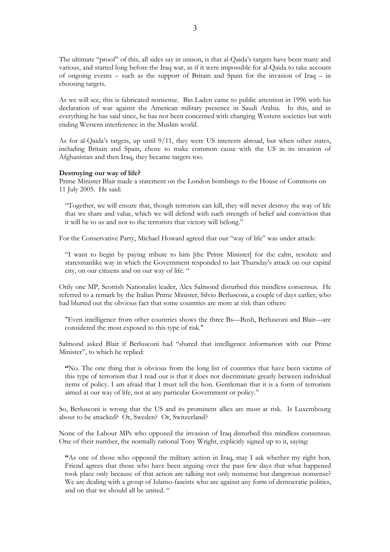The ultimate "proof" of this, all sides say in unison, is that al-Qaida's targets have been many and various, and started long before the Iraq war, as if it were impossible for al-Qaida to take account of ongoing events – such as the support of Britain and Spain for the invasion of Iraq – in choosing targets.

As we will see, this is fabricated nonsense. Bin Laden came to public attention in 1996 with his declaration of war against the American military presence in Saudi Arabia. In this, and in everything he has said since, he has not been concerned with changing Western societies but with ending Western interference in the Muslim world.

As for al-Qaida's targets, up until 9/11, they were US interests abroad, but when other states, including Britain and Spain, chose to make common cause with the US in its invasion of Afghanistan and then Iraq, they became targets too.

#### **Destroying our way of life?**

Prime Minister Blair made a statement on the London bombings to the House of Commons on 11 July 2005. He said:

"Together, we will ensure that, though terrorists can kill, they will never destroy the way of life that we share and value, which we will defend with such strength of belief and conviction that it will be to us and not to the terrorists that victory will belong."

For the Conservative Party, Michael Howard agreed that our "way of life" was under attack:

"I want to begin by paying tribute to him [the Prime Minister] for the calm, resolute and statesmanlike way in which the Government responded to last Thursday's attack on our capital city, on our citizens and on our way of life. "

Only one MP, Scottish Nationalist leader, Alex Salmond disturbed this mindless consensus. He referred to a remark by the Italian Prime Minister, Silvio Berlusconi, a couple of days earlier, who had blurted out the obvious fact that some countries are more at risk than others:

"Even intelligence from other countries shows the three Bs—Bush, Berlusconi and Blair—are considered the most exposed to this type of risk."

Salmond asked Blair if Berlusconi had "shared that intelligence information with our Prime Minister", to which he replied:

**"**No. The one thing that is obvious from the long list of countries that have been victims of this type of terrorism that I read out is that it does not discriminate greatly between individual items of policy. I am afraid that I must tell the hon. Gentleman that it is a form of terrorism aimed at our way of life, not at any particular Government or policy."

So, Berlusconi is wrong that the US and its prominent allies are most at risk. Is Luxembourg about to be attacked? Or, Sweden? Or, Switzerland?

None of the Labour MPs who opposed the invasion of Iraq disturbed this mindless consensus. One of their number, the normally rational Tony Wright, explicitly signed up to it, saying:

**"**As one of those who opposed the military action in Iraq, may I ask whether my right hon. Friend agrees that those who have been arguing over the past few days that what happened took place only because of that action are talking not only nonsense but dangerous nonsense? We are dealing with a group of Islamo-fascists who are against any form of democratic politics, and on that we should all be united. "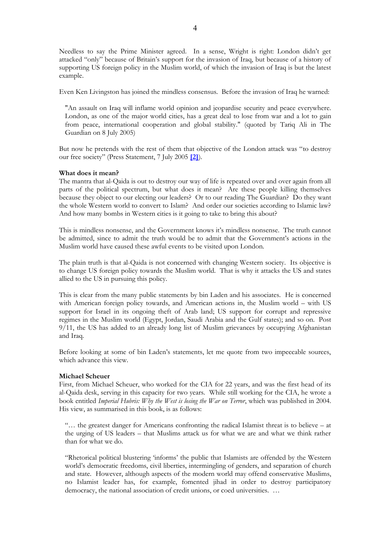Needless to say the Prime Minister agreed. In a sense, Wright is right: London didn't get attacked "only" because of Britain's support for the invasion of Iraq, but because of a history of supporting US foreign policy in the Muslim world, of which the invasion of Iraq is but the latest example.

Even Ken Livingston has joined the mindless consensus. Before the invasion of Iraq he warned:

"An assault on Iraq will inflame world opinion and jeopardise security and peace everywhere. London, as one of the major world cities, has a great deal to lose from war and a lot to gain from peace, international cooperation and global stability." (quoted by Tariq Ali in The Guardian on 8 July 2005)

But now he pretends with the rest of them that objective of the London attack was "to destroy our free society" (Press Statement, 7 July 2005 **[\[2\]](http://www.london.gov.uk/mayor/mayor_statement_070705.jsp)**).

## **What does it mean?**

The mantra that al-Qaida is out to destroy our way of life is repeated over and over again from all parts of the political spectrum, but what does it mean? Are these people killing themselves because they object to our electing our leaders? Or to our reading The Guardian? Do they want the whole Western world to convert to Islam? And order our societies according to Islamic law? And how many bombs in Western cities is it going to take to bring this about?

This is mindless nonsense, and the Government knows it's mindless nonsense. The truth cannot be admitted, since to admit the truth would be to admit that the Government's actions in the Muslim world have caused these awful events to be visited upon London.

The plain truth is that al-Qaida is not concerned with changing Western society. Its objective is to change US foreign policy towards the Muslim world. That is why it attacks the US and states allied to the US in pursuing this policy.

This is clear from the many public statements by bin Laden and his associates. He is concerned with American foreign policy towards, and American actions in, the Muslim world – with US support for Israel in its ongoing theft of Arab land; US support for corrupt and repressive regimes in the Muslim world (Egypt, Jordan, Saudi Arabia and the Gulf states); and so on. Post 9/11, the US has added to an already long list of Muslim grievances by occupying Afghanistan and Iraq.

Before looking at some of bin Laden's statements, let me quote from two impeccable sources, which advance this view.

# **Michael Scheuer**

First, from Michael Scheuer, who worked for the CIA for 22 years, and was the first head of its al-Qaida desk, serving in this capacity for two years. While still working for the CIA, he wrote a book entitled *Imperial Hubris: Why the West is losing the War on Terror*, which was published in 2004. His view, as summarised in this book, is as follows:

"… the greatest danger for Americans confronting the radical Islamist threat is to believe – at the urging of US leaders – that Muslims attack us for what we are and what we think rather than for what we do.

"Rhetorical political blustering 'informs' the public that Islamists are offended by the Western world's democratic freedoms, civil liberties, intermingling of genders, and separation of church and state. However, although aspects of the modern world may offend conservative Muslims, no Islamist leader has, for example, fomented jihad in order to destroy participatory democracy, the national association of credit unions, or coed universities. …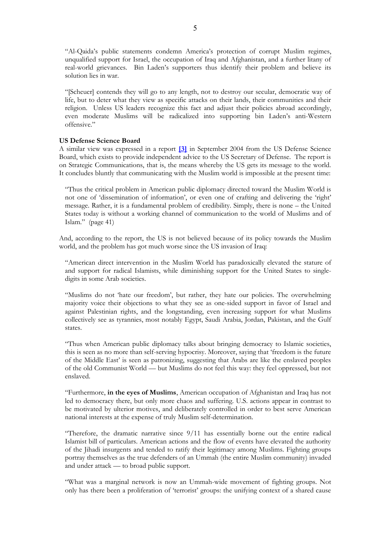"Al-Qaida's public statements condemn America's protection of corrupt Muslim regimes, unqualified support for Israel, the occupation of Iraq and Afghanistan, and a further litany of real-world grievances. Bin Laden's supporters thus identify their problem and believe its solution lies in war.

"[Scheuer] contends they will go to any length, not to destroy our secular, democratic way of life, but to deter what they view as specific attacks on their lands, their communities and their religion. Unless US leaders recognize this fact and adjust their policies abroad accordingly, even moderate Muslims will be radicalized into supporting bin Laden's anti-Western offensive."

# **US Defense Science Board**

A similar view was expressed in a report **[\[3\]](http://www.acq.osd.mil/dsb/reports/2004-09-Strategic_Communication.pdf)** in September 2004 from the US Defense Science Board, which exists to provide independent advice to the US Secretary of Defense. The report is on Strategic Communications, that is, the means whereby the US gets its message to the world. It concludes bluntly that communicating with the Muslim world is impossible at the present time:

"Thus the critical problem in American public diplomacy directed toward the Muslim World is not one of 'dissemination of information', or even one of crafting and delivering the 'right' message. Rather, it is a fundamental problem of credibility. Simply, there is none – the United States today is without a working channel of communication to the world of Muslims and of Islam." (page 41)

And, according to the report, the US is not believed because of its policy towards the Muslim world, and the problem has got much worse since the US invasion of Iraq:

"American direct intervention in the Muslim World has paradoxically elevated the stature of and support for radical Islamists, while diminishing support for the United States to singledigits in some Arab societies.

"Muslims do not 'hate our freedom', but rather, they hate our policies. The overwhelming majority voice their objections to what they see as one-sided support in favor of Israel and against Palestinian rights, and the longstanding, even increasing support for what Muslims collectively see as tyrannies, most notably Egypt, Saudi Arabia, Jordan, Pakistan, and the Gulf states.

"Thus when American public diplomacy talks about bringing democracy to Islamic societies, this is seen as no more than self-serving hypocrisy. Moreover, saying that 'freedom is the future of the Middle East' is seen as patronizing, suggesting that Arabs are like the enslaved peoples of the old Communist World — but Muslims do not feel this way: they feel oppressed, but not enslaved.

"Furthermore, **in the eyes of Muslims**, American occupation of Afghanistan and Iraq has not led to democracy there, but only more chaos and suffering. U.S. actions appear in contrast to be motivated by ulterior motives, and deliberately controlled in order to best serve American national interests at the expense of truly Muslim self-determination.

"Therefore, the dramatic narrative since 9/11 has essentially borne out the entire radical Islamist bill of particulars. American actions and the flow of events have elevated the authority of the Jihadi insurgents and tended to ratify their legitimacy among Muslims. Fighting groups portray themselves as the true defenders of an Ummah (the entire Muslim community) invaded and under attack — to broad public support.

"What was a marginal network is now an Ummah-wide movement of fighting groups. Not only has there been a proliferation of 'terrorist' groups: the unifying context of a shared cause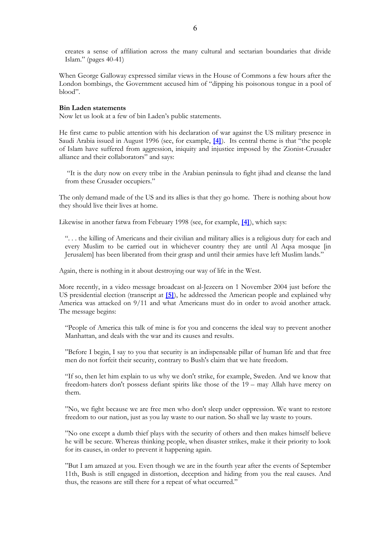creates a sense of affiliation across the many cultural and sectarian boundaries that divide Islam." (pages 40-41)

When George Galloway expressed similar views in the House of Commons a few hours after the London bombings, the Government accused him of "dipping his poisonous tongue in a pool of blood".

#### **Bin Laden statements**

Now let us look at a few of bin Laden's public statements.

He first came to public attention with his declaration of war against the US military presence in Saudi Arabia issued in August 1996 (see, for example, **[\[4\]](http://www.number-10.gov.uk/output/page3682.asp)**). Its central theme is that "the people of Islam have suffered from aggression, iniquity and injustice imposed by the Zionist-Crusader alliance and their collaborators" and says:

"It is the duty now on every tribe in the Arabian peninsula to fight jihad and cleanse the land from these Crusader occupiers."

The only demand made of the US and its allies is that they go home. There is nothing about how they should live their lives at home.

Likewise in another fatwa from February 1998 (see, for example, **[\[4\]](http://www.number-10.gov.uk/output/page3682.asp)**), which says:

". . . the killing of Americans and their civilian and military allies is a religious duty for each and every Muslim to be carried out in whichever country they are until Al Aqsa mosque [in Jerusalem] has been liberated from their grasp and until their armies have left Muslim lands*.*"

Again, there is nothing in it about destroying our way of life in the West.

More recently, in a video message broadcast on al-Jezeera on 1 November 2004 just before the US presidential election (transcript at **[\[5\]](http://english.aljazeera.net/NR/exeres/79C6AF22-98FB-4A1C-B21F-2BC36E87F61F.htm)**), he addressed the American people and explained why America was attacked on 9/11 and what Americans must do in order to avoid another attack. The message begins:

"People of America this talk of mine is for you and concerns the ideal way to prevent another Manhattan, and deals with the war and its causes and results.

"Before I begin, I say to you that security is an indispensable pillar of human life and that free men do not forfeit their security, contrary to Bush's claim that we hate freedom.

"If so, then let him explain to us why we don't strike, for example, Sweden. And we know that freedom-haters don't possess defiant spirits like those of the 19 – may Allah have mercy on them.

"No, we fight because we are free men who don't sleep under oppression. We want to restore freedom to our nation, just as you lay waste to our nation. So shall we lay waste to yours.

"No one except a dumb thief plays with the security of others and then makes himself believe he will be secure. Whereas thinking people, when disaster strikes, make it their priority to look for its causes, in order to prevent it happening again.

"But I am amazed at you. Even though we are in the fourth year after the events of September 11th, Bush is still engaged in distortion, deception and hiding from you the real causes. And thus, the reasons are still there for a repeat of what occurred."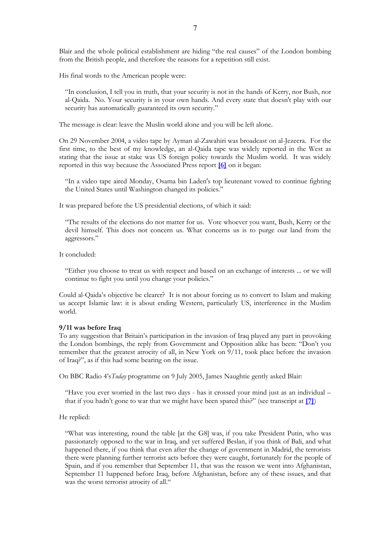Blair and the whole political establishment are hiding "the real causes" of the London bombing from the British people, and therefore the reasons for a repetition still exist.

His final words to the American people were:

"In conclusion, I tell you in truth, that your security is not in the hands of Kerry, nor Bush, nor al-Qaida. No. Your security is in your own hands. And every state that doesn't play with our security has automatically guaranteed its own security."

The message is clear: leave the Muslin world alone and you will be left alone.

On 29 November 2004, a video tape by Ayman al-Zawahiri was broadcast on al-Jezeera. For the first time, to the best of my knowledge, an al-Qaida tape was widely reported in the West as stating that the issue at stake was US foreign policy towards the Muslim world. It was widely reported in this way because the Associated Press report **[\[6\]](http://www.david-morrison.org.uk/other-documents/al-zawahri-wp-20041129.htm)** on it began:

"In a video tape aired Monday, Osama bin Laden's top lieutenant vowed to continue fighting the United States until Washington changed its policies."

It was prepared before the US presidential elections, of which it said:

"The results of the elections do not matter for us. Vote whoever you want, Bush, Kerry or the devil himself. This does not concern us. What concerns us is to purge our land from the aggressors."

It concluded:

"Either you choose to treat us with respect and based on an exchange of interests ... or we will continue to fight you until you change your policies."

Could al-Qaida's objective be clearer? It is not about forcing us to convert to Islam and making us accept Islamic law: it is about ending Western, particularly US, interference in the Muslim world.

#### **9/11 was before Iraq**

To any suggestion that Britain's participation in the invasion of Iraq played any part in provoking the London bombings, the reply from Government and Opposition alike has been: "Don't you remember that the greatest atrocity of all, in New York on 9/11, took place before the invasion of Iraq?", as if this had some bearing on the issue.

On BBC Radio 4's*Today* programme on 9 July 2005, James Naughtie gently asked Blair:

"Have you ever worried in the last two days - has it crossed your mind just as an individual – that if you hadn't gone to war that we might have been spared this?" (see transcript at **[\[7\]](http://www.david-morrison.org.uk/other-documents/blair-20050709-bbc-today.htm)**)

He replied:

"What was interesting, round the table [at the G8] was, if you take President Putin, who was passionately opposed to the war in Iraq, and yet suffered Beslan, if you think of Bali, and what happened there, if you think that even after the change of government in Madrid, the terrorists there were planning further terrorist acts before they were caught, fortunately for the people of Spain, and if you remember that September 11, that was the reason we went into Afghanistan, September 11 happened before Iraq, before Afghanistan, before any of these issues, and that was the worst terrorist atrocity of all."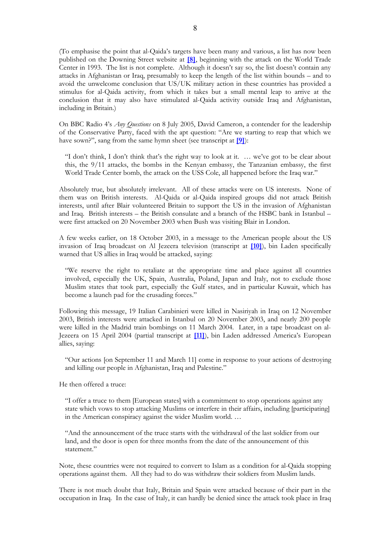(To emphasise the point that al-Qaida's targets have been many and various, a list has now been published on the Downing Street website at **[\[8\]](http://www.number-10.gov.uk/output/Page7930.asp)**, beginning with the attack on the World Trade Center in 1993. The list is not complete. Although it doesn't say so, the list doesn't contain any attacks in Afghanistan or Iraq, presumably to keep the length of the list within bounds – and to avoid the unwelcome conclusion that US/UK military action in these countries has provided a stimulus for al-Qaida activity, from which it takes but a small mental leap to arrive at the conclusion that it may also have stimulated al-Qaida activity outside Iraq and Afghanistan, including in Britain.)

On BBC Radio 4's *Any Questions* on 8 July 2005, David Cameron, a contender for the leadership of the Conservative Party, faced with the apt question: "Are we starting to reap that which we have sown?", sang from the same hymn sheet (see transcript at **[\[9\]](http://www.david-morrison.org.uk/other-documents/cameron-20050708-any-questions.htm)**):

"I don't think, I don't think that's the right way to look at it. … we've got to be clear about this, the 9/11 attacks, the bombs in the Kenyan embassy, the Tanzanian embassy, the first World Trade Center bomb, the attack on the USS Cole, all happened before the Iraq war."

Absolutely true, but absolutely irrelevant. All of these attacks were on US interests. None of them was on British interests. Al-Qaida or al-Qaida inspired groups did not attack British interests, until after Blair volunteered Britain to support the US in the invasion of Afghanistan and Iraq. British interests – the British consulate and a branch of the HSBC bank in Istanbul – were first attacked on 20 November 2003 when Bush was visiting Blair in London.

A few weeks earlier, on 18 October 2003, in a message to the American people about the US invasion of Iraq broadcast on Al Jezeera television (transcript at **[\[10\]](http://english.aljazeera.net/NR/exeres/8E8EA580-943C-4FBF-9ABD-21B47627FECD.htm)**), bin Laden specifically warned that US allies in Iraq would be attacked, saying:

"We reserve the right to retaliate at the appropriate time and place against all countries involved, especially the UK, Spain, Australia, Poland, Japan and Italy, not to exclude those Muslim states that took part, especially the Gulf states, and in particular Kuwait, which has become a launch pad for the crusading forces."

Following this message, 19 Italian Carabinieri were killed in Nasiriyah in Iraq on 12 November 2003, British interests were attacked in Istanbul on 20 November 2003, and nearly 200 people were killed in the Madrid train bombings on 11 March 2004. Later, in a tape broadcast on al-Jezeera on 15 April 2004 (partial transcript at **[\[11\]](http://www.guardian.co.uk/international/story/0,3604,1192430,00.html)**), bin Laden addressed America's European allies, saying:

"Our actions [on September 11 and March 11] come in response to your actions of destroying and killing our people in Afghanistan, Iraq and Palestine."

He then offered a truce:

"I offer a truce to them [European states] with a commitment to stop operations against any state which vows to stop attacking Muslims or interfere in their affairs, including [participating] in the American conspiracy against the wider Muslim world. …

"And the announcement of the truce starts with the withdrawal of the last soldier from our land, and the door is open for three months from the date of the announcement of this statement."

Note, these countries were not required to convert to Islam as a condition for al-Qaida stopping operations against them. All they had to do was withdraw their soldiers from Muslim lands.

There is not much doubt that Italy, Britain and Spain were attacked because of their part in the occupation in Iraq. In the case of Italy, it can hardly be denied since the attack took place in Iraq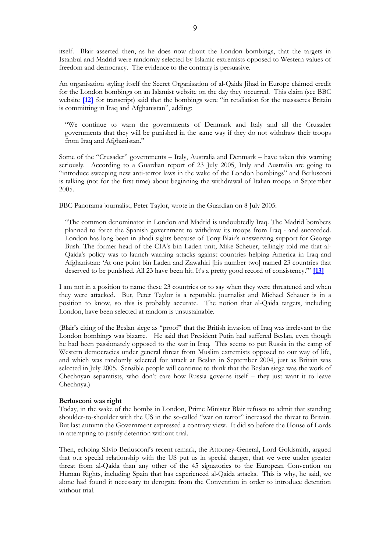itself. Blair asserted then, as he does now about the London bombings, that the targets in Istanbul and Madrid were randomly selected by Islamic extremists opposed to Western values of freedom and democracy. The evidence to the contrary is persuasive.

An organisation styling itself the Secret Organisation of al-Qaida Jihad in Europe claimed credit for the London bombings on an Islamist website on the day they occurred. This claim (see BBC website **[\[12\]](http://news.bbc.co.uk/go/pr/fr/-/1/hi/uk/4660391.stm)** for transcript) said that the bombings were "in retaliation for the massacres Britain is committing in Iraq and Afghanistan", adding:

"We continue to warn the governments of Denmark and Italy and all the Crusader governments that they will be punished in the same way if they do not withdraw their troops from Iraq and Afghanistan."

Some of the "Crusader" governments – Italy, Australia and Denmark – have taken this warning seriously. According to a Guardian report of 23 July 2005, Italy and Australia are going to "introduce sweeping new anti-terror laws in the wake of the London bombings" and Berlusconi is talking (not for the first time) about beginning the withdrawal of Italian troops in September 2005.

BBC Panorama journalist, Peter Taylor, wrote in the Guardian on 8 July 2005:

"The common denominator in London and Madrid is undoubtedly Iraq. The Madrid bombers planned to force the Spanish government to withdraw its troops from Iraq - and succeeded. London has long been in jihadi sights because of Tony Blair's unswerving support for George Bush. The former head of the CIA's bin Laden unit, Mike Scheuer, tellingly told me that al-Qaida's policy was to launch warning attacks against countries helping America in Iraq and Afghanistan: 'At one point bin Laden and Zawahiri [his number two] named 23 countries that deserved to be punished. All 23 have been hit. It's a pretty good record of consistency.'" **[\[13\]](http://www.guardian.co.uk/comment/story/0,,1523673,00.html)**

I am not in a position to name these 23 countries or to say when they were threatened and when they were attacked. But, Peter Taylor is a reputable journalist and Michael Schauer is in a position to know, so this is probably accurate. The notion that al-Qaida targets, including London, have been selected at random is unsustainable.

(Blair's citing of the Beslan siege as "proof" that the British invasion of Iraq was irrelevant to the London bombings was bizarre. He said that President Putin had suffered Beslan, even though he had been passionately opposed to the war in Iraq. This seems to put Russia in the camp of Western democracies under general threat from Muslim extremists opposed to our way of life, and which was randomly selected for attack at Beslan in September 2004, just as Britain was selected in July 2005. Sensible people will continue to think that the Beslan siege was the work of Chechnyan separatists, who don't care how Russia governs itself – they just want it to leave Chechnya.)

## **Berlusconi was right**

Today, in the wake of the bombs in London, Prime Minister Blair refuses to admit that standing shoulder-to-shoulder with the US in the so-called "war on terror" increased the threat to Britain. But last autumn the Government expressed a contrary view. It did so before the House of Lords in attempting to justify detention without trial.

Then, echoing Silvio Berlusconi's recent remark, the Attorney-General, Lord Goldsmith, argued that our special relationship with the US put us in special danger, that we were under greater threat from al-Qaida than any other of the 45 signatories to the European Convention on Human Rights, including Spain that has experienced al-Qaida attacks. This is why, he said, we alone had found it necessary to derogate from the Convention in order to introduce detention without trial.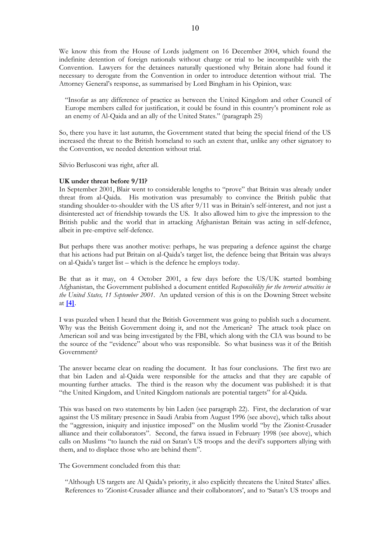We know this from the House of Lords judgment on 16 December 2004, which found the indefinite detention of foreign nationals without charge or trial to be incompatible with the Convention. Lawyers for the detainees naturally questioned why Britain alone had found it necessary to derogate from the Convention in order to introduce detention without trial. The Attorney General's response, as summarised by Lord Bingham in his Opinion, was:

"Insofar as any difference of practice as between the United Kingdom and other Council of Europe members called for justification, it could be found in this country's prominent role as an enemy of Al-Qaida and an ally of the United States." (paragraph 25)

So, there you have it: last autumn, the Government stated that being the special friend of the US increased the threat to the British homeland to such an extent that, unlike any other signatory to the Convention, we needed detention without trial.

Silvio Berlusconi was right, after all.

#### **UK under threat before 9/11?**

In September 2001, Blair went to considerable lengths to "prove" that Britain was already under threat from al-Qaida. His motivation was presumably to convince the British public that standing shoulder-to-shoulder with the US after 9/11 was in Britain's self-interest, and not just a disinterested act of friendship towards the US. It also allowed him to give the impression to the British public and the world that in attacking Afghanistan Britain was acting in self-defence, albeit in pre-emptive self-defence.

But perhaps there was another motive: perhaps, he was preparing a defence against the charge that his actions had put Britain on al-Qaida's target list, the defence being that Britain was always on al-Qaida's target list – which is the defence he employs today.

Be that as it may, on 4 October 2001, a few days before the US/UK started bombing Afghanistan, the Government published a document entitled *Responsibility for the terrorist atrocities in the United States, 11 September 2001*. An updated version of this is on the Downing Street website at **[\[4\]](http://www.number-10.gov.uk/output/page3682.asp)**.

I was puzzled when I heard that the British Government was going to publish such a document. Why was the British Government doing it, and not the American? The attack took place on American soil and was being investigated by the FBI, which along with the CIA was bound to be the source of the "evidence" about who was responsible. So what business was it of the British Government?

The answer became clear on reading the document. It has four conclusions. The first two are that bin Laden and al-Qaida were responsible for the attacks and that they are capable of mounting further attacks. The third is the reason why the document was published: it is that "the United Kingdom, and United Kingdom nationals are potential targets" for al-Qaida.

This was based on two statements by bin Laden (see paragraph 22). First, the declaration of war against the US military presence in Saudi Arabia from August 1996 (see above), which talks about the "aggression, iniquity and injustice imposed" on the Muslim world "by the Zionist-Crusader alliance and their collaborators". Second, the fatwa issued in February 1998 (see above), which calls on Muslims "to launch the raid on Satan's US troops and the devil's supporters allying with them, and to displace those who are behind them".

The Government concluded from this that:

"Although US targets are Al Qaida's priority, it also explicitly threatens the United States' allies. References to 'Zionist-Crusader alliance and their collaborators', and to 'Satan's US troops and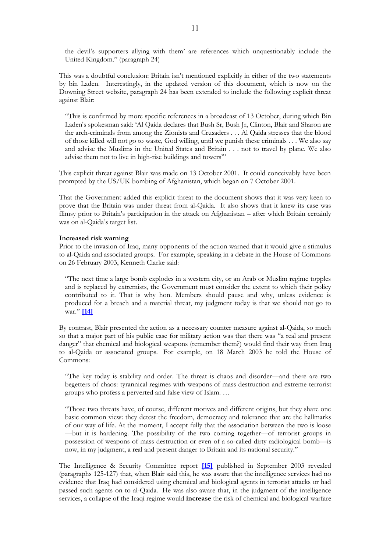the devil's supporters allying with them' are references which unquestionably include the United Kingdom." (paragraph 24)

This was a doubtful conclusion: Britain isn't mentioned explicitly in either of the two statements by bin Laden. Interestingly, in the updated version of this document, which is now on the Downing Street website, paragraph 24 has been extended to include the following explicit threat against Blair:

"This is confirmed by more specific references in a broadcast of 13 October, during which Bin Laden's spokesman said: 'Al Qaida declares that Bush Sr, Bush Jr, Clinton, Blair and Sharon are the arch-criminals from among the Zionists and Crusaders . . . Al Qaida stresses that the blood of those killed will not go to waste, God willing, until we punish these criminals . . . We also say and advise the Muslims in the United States and Britain . . . not to travel by plane. We also advise them not to live in high-rise buildings and towers'"

This explicit threat against Blair was made on 13 October 2001. It could conceivably have been prompted by the US/UK bombing of Afghanistan, which began on 7 October 2001.

That the Government added this explicit threat to the document shows that it was very keen to prove that the Britain was under threat from al-Qaida. It also shows that it knew its case was flimsy prior to Britain's participation in the attack on Afghanistan – after which Britain certainly was on al-Qaida's target list.

#### **Increased risk warning**

Prior to the invasion of Iraq, many opponents of the action warned that it would give a stimulus to al-Qaida and associated groups. For example, speaking in a debate in the House of Commons on 26 February 2003, Kenneth Clarke said:

"The next time a large bomb explodes in a western city, or an Arab or Muslim regime topples and is replaced by extremists, the Government must consider the extent to which their policy contributed to it. That is why hon. Members should pause and why, unless evidence is produced for a breach and a material threat, my judgment today is that we should not go to war." **[\[14\]](http://www.publications.parliament.uk/pa/cm200203/cmhansrd/vo030226/debtext/30226-14.htm)**

By contrast, Blair presented the action as a necessary counter measure against al-Qaida, so much so that a major part of his public case for military action was that there was "a real and present danger" that chemical and biological weapons (remember them?) would find their way from Iraq to al-Qaida or associated groups. For example, on 18 March 2003 he told the House of Commons:

"The key today is stability and order. The threat is chaos and disorder—and there are two begetters of chaos: tyrannical regimes with weapons of mass destruction and extreme terrorist groups who profess a perverted and false view of Islam. …

"Those two threats have, of course, different motives and different origins, but they share one basic common view: they detest the freedom, democracy and tolerance that are the hallmarks of our way of life. At the moment, I accept fully that the association between the two is loose —but it is hardening. The possibility of the two coming together—of terrorist groups in possession of weapons of mass destruction or even of a so-called dirty radiological bomb—is now, in my judgment, a real and present danger to Britain and its national security."

The Intelligence & Security Committee report **[\[15\]](http://www.cabinetoffice.gov.uk/publications/reports/isc/iwmdia.pdf)** published in September 2003 revealed (paragraphs 125-127) that, when Blair said this, he was aware that the intelligence services had no evidence that Iraq had considered using chemical and biological agents in terrorist attacks or had passed such agents on to al-Qaida. He was also aware that, in the judgment of the intelligence services, a collapse of the Iraqi regime would **increase** the risk of chemical and biological warfare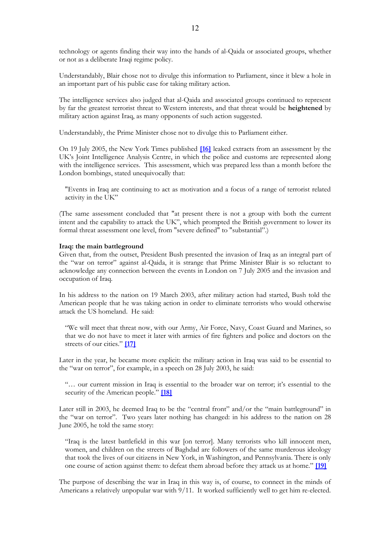technology or agents finding their way into the hands of al-Qaida or associated groups, whether or not as a deliberate Iraqi regime policy.

Understandably, Blair chose not to divulge this information to Parliament, since it blew a hole in an important part of his public case for taking military action.

The intelligence services also judged that al-Qaida and associated groups continued to represent by far the greatest terrorist threat to Western interests, and that threat would be **heightened** by military action against Iraq, as many opponents of such action suggested.

Understandably, the Prime Minister chose not to divulge this to Parliament either.

On 19 July 2005, the New York Times published **[\[16\]](http://www.nytimes.com/2005/07/19/international/europe/19intel.html)** leaked extracts from an assessment by the UK's Joint Intelligence Analysis Centre, in which the police and customs are represented along with the intelligence services. This assessment, which was prepared less than a month before the London bombings, stated unequivocally that:

"Events in Iraq are continuing to act as motivation and a focus of a range of terrorist related activity in the UK"

(The same assessment concluded that "at present there is not a group with both the current intent and the capability to attack the UK", which prompted the British government to lower its formal threat assessment one level, from "severe defined" to "substantial".)

#### **Iraq: the main battleground**

Given that, from the outset, President Bush presented the invasion of Iraq as an integral part of the "war on terror" against al-Qaida, it is strange that Prime Minister Blair is so reluctant to acknowledge any connection between the events in London on 7 July 2005 and the invasion and occupation of Iraq.

In his address to the nation on 19 March 2003, after military action had started, Bush told the American people that he was taking action in order to eliminate terrorists who would otherwise attack the US homeland. He said:

"We will meet that threat now, with our Army, Air Force, Navy, Coast Guard and Marines, so that we do not have to meet it later with armies of fire fighters and police and doctors on the streets of our cities." **[\[17\]](http://www.whitehouse.gov/news/releases/2003/03/20030319-17.html)**

Later in the year, he became more explicit: the military action in Iraq was said to be essential to the "war on terror", for example, in a speech on 28 July 2003, he said:

"… our current mission in Iraq is essential to the broader war on terror; it's essential to the security of the American people." **[\[18\]](http://www.whitehouse.gov/news/releases/2003/07/20030728-3.html)**

Later still in 2003, he deemed Iraq to be the "central front" and/or the "main battleground" in the "war on terror". Two years later nothing has changed: in his address to the nation on 28 June 2005, he told the same story:

"Iraq is the latest battlefield in this war [on terror]. Many terrorists who kill innocent men, women, and children on the streets of Baghdad are followers of the same murderous ideology that took the lives of our citizens in New York, in Washington, and Pennsylvania. There is only one course of action against them: to defeat them abroad before they attack us at home." **[\[19\]](http://www.whitehouse.gov/news/releases/2005/06/20050628-7.html)**

The purpose of describing the war in Iraq in this way is, of course, to connect in the minds of Americans a relatively unpopular war with 9/11. It worked sufficiently well to get him re-elected.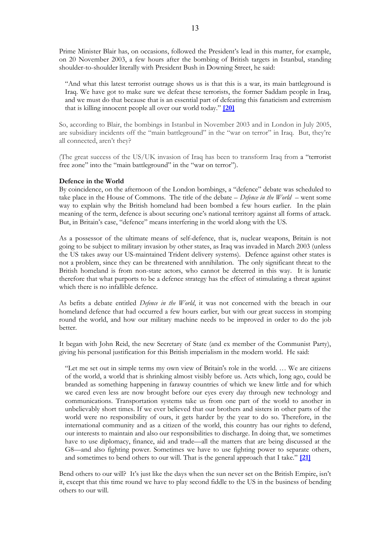Prime Minister Blair has, on occasions, followed the President's lead in this matter, for example, on 20 November 2003, a few hours after the bombing of British targets in Istanbul, standing shoulder-to-shoulder literally with President Bush in Downing Street, he said:

"And what this latest terrorist outrage shows us is that this is a war, its main battleground is Iraq. We have got to make sure we defeat these terrorists, the former Saddam people in Iraq, and we must do that because that is an essential part of defeating this fanaticism and extremism that is killing innocent people all over our world today." **[\[20\]](http://www.whitehouse.gov/news/releases/2003/11/20031120-3.html)**

So, according to Blair, the bombings in Istanbul in November 2003 and in London in July 2005, are subsidiary incidents off the "main battleground" in the "war on terror" in Iraq. But, they're all connected, aren't they?

(The great success of the US/UK invasion of Iraq has been to transform Iraq from a "terrorist free zone" into the "main battleground" in the "war on terror").

#### **Defence in the World**

By coincidence, on the afternoon of the London bombings, a "defence" debate was scheduled to take place in the House of Commons. The title of the debate – *Defence in the World* – went some way to explain why the British homeland had been bombed a few hours earlier. In the plain meaning of the term, defence is about securing one's national territory against all forms of attack. But, in Britain's case, "defence" means interfering in the world along with the US.

As a possessor of the ultimate means of self-defence, that is, nuclear weapons, Britain is not going to be subject to military invasion by other states, as Iraq was invaded in March 2003 (unless the US takes away our US-maintained Trident delivery systems). Defence against other states is not a problem, since they can be threatened with annihilation. The only significant threat to the British homeland is from non-state actors, who cannot be deterred in this way. It is lunatic therefore that what purports to be a defence strategy has the effect of stimulating a threat against which there is no infallible defence.

As befits a debate entitled *Defence in the World*, it was not concerned with the breach in our homeland defence that had occurred a few hours earlier, but with our great success in stomping round the world, and how our military machine needs to be improved in order to do the job better.

It began with John Reid, the new Secretary of State (and ex member of the Communist Party), giving his personal justification for this British imperialism in the modern world. He said:

"Let me set out in simple terms my own view of Britain's role in the world. … We are citizens of the world, a world that is shrinking almost visibly before us. Acts which, long ago, could be branded as something happening in faraway countries of which we knew little and for which we cared even less are now brought before our eyes every day through new technology and communications. Transportation systems take us from one part of the world to another in unbelievably short times. If we ever believed that our brothers and sisters in other parts of the world were no responsibility of ours, it gets harder by the year to do so. Therefore, in the international community and as a citizen of the world, this country has our rights to defend, our interests to maintain and also our responsibilities to discharge. In doing that, we sometimes have to use diplomacy, finance, aid and trade—all the matters that are being discussed at the G8—and also fighting power. Sometimes we have to use fighting power to separate others, and sometimes to bend others to our will. That is the general approach that I take." **[\[21\]](http://www.publications.parliament.uk/pa/cm200506/cmhansrd/cm050707/debtext/50707-14.htm)**

Bend others to our will? It's just like the days when the sun never set on the British Empire, isn't it, except that this time round we have to play second fiddle to the US in the business of bending others to our will.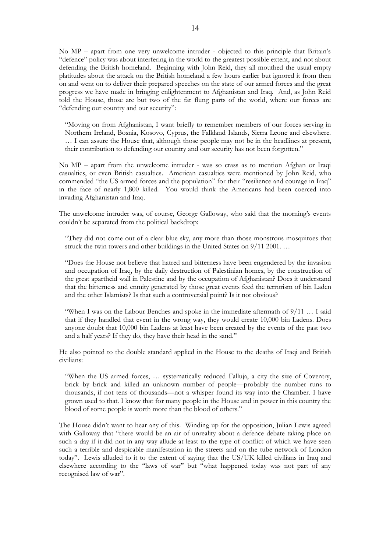No MP – apart from one very unwelcome intruder - objected to this principle that Britain's "defence" policy was about interfering in the world to the greatest possible extent, and not about defending the British homeland. Beginning with John Reid, they all mouthed the usual empty platitudes about the attack on the British homeland a few hours earlier but ignored it from then on and went on to deliver their prepared speeches on the state of our armed forces and the great progress we have made in bringing enlightenment to Afghanistan and Iraq. And, as John Reid told the House, those are but two of the far flung parts of the world, where our forces are "defending our country and our security":

"Moving on from Afghanistan, I want briefly to remember members of our forces serving in Northern Ireland, Bosnia, Kosovo, Cyprus, the Falkland Islands, Sierra Leone and elsewhere. … I can assure the House that, although those people may not be in the headlines at present, their contribution to defending our country and our security has not been forgotten."

No MP – apart from the unwelcome intruder - was so crass as to mention Afghan or Iraqi casualties, or even British casualties. American casualties were mentioned by John Reid, who commended "the US armed forces and the population" for their "resilience and courage in Iraq" in the face of nearly 1,800 killed. You would think the Americans had been coerced into invading Afghanistan and Iraq.

The unwelcome intruder was, of course, George Galloway, who said that the morning's events couldn't be separated from the political backdrop:

"They did not come out of a clear blue sky, any more than those monstrous mosquitoes that struck the twin towers and other buildings in the United States on 9/11 2001. …

"Does the House not believe that hatred and bitterness have been engendered by the invasion and occupation of Iraq, by the daily destruction of Palestinian homes, by the construction of the great apartheid wall in Palestine and by the occupation of Afghanistan? Does it understand that the bitterness and enmity generated by those great events feed the terrorism of bin Laden and the other Islamists? Is that such a controversial point? Is it not obvious?

"When I was on the Labour Benches and spoke in the immediate aftermath of 9/11 … I said that if they handled that event in the wrong way, they would create 10,000 bin Ladens. Does anyone doubt that 10,000 bin Ladens at least have been created by the events of the past two and a half years? If they do, they have their head in the sand."

He also pointed to the double standard applied in the House to the deaths of Iraqi and British civilians:

"When the US armed forces, … systematically reduced Falluja, a city the size of Coventry, brick by brick and killed an unknown number of people—probably the number runs to thousands, if not tens of thousands—not a whisper found its way into the Chamber. I have grown used to that. I know that for many people in the House and in power in this country the blood of some people is worth more than the blood of others."

The House didn't want to hear any of this. Winding up for the opposition, Julian Lewis agreed with Galloway that "there would be an air of unreality about a defence debate taking place on such a day if it did not in any way allude at least to the type of conflict of which we have seen such a terrible and despicable manifestation in the streets and on the tube network of London today". Lewis alluded to it to the extent of saying that the US/UK killed civilians in Iraq and elsewhere according to the "laws of war" but "what happened today was not part of any recognised law of war".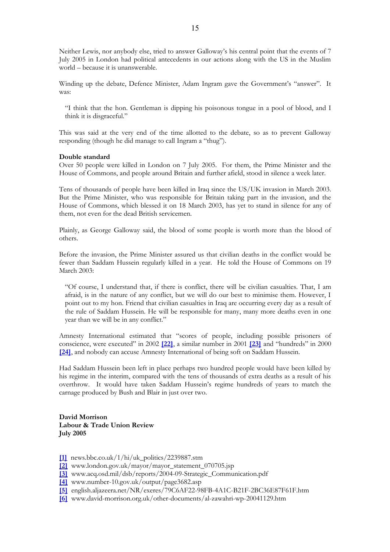Neither Lewis, nor anybody else, tried to answer Galloway's his central point that the events of 7 July 2005 in London had political antecedents in our actions along with the US in the Muslim world – because it is unanswerable.

Winding up the debate, Defence Minister, Adam Ingram gave the Government's "answer". It was:

"I think that the hon. Gentleman is dipping his poisonous tongue in a pool of blood, and I think it is disgraceful."

This was said at the very end of the time allotted to the debate, so as to prevent Galloway responding (though he did manage to call Ingram a "thug").

#### **Double standard**

Over 50 people were killed in London on 7 July 2005. For them, the Prime Minister and the House of Commons, and people around Britain and further afield, stood in silence a week later.

Tens of thousands of people have been killed in Iraq since the US/UK invasion in March 2003. But the Prime Minister, who was responsible for Britain taking part in the invasion, and the House of Commons, which blessed it on 18 March 2003, has yet to stand in silence for any of them, not even for the dead British servicemen.

Plainly, as George Galloway said, the blood of some people is worth more than the blood of others.

Before the invasion, the Prime Minister assured us that civilian deaths in the conflict would be fewer than Saddam Hussein regularly killed in a year. He told the House of Commons on 19 March 2003:

"Of course, I understand that, if there is conflict, there will be civilian casualties. That, I am afraid, is in the nature of any conflict, but we will do our best to minimise them. However, I point out to my hon. Friend that civilian casualties in Iraq are occurring every day as a result of the rule of Saddam Hussein. He will be responsible for many, many more deaths even in one year than we will be in any conflict."

Amnesty International estimated that "scores of people, including possible prisoners of conscience, were executed" in 2002 **[\[22\]](http://web.amnesty.org/report2003/irq-summary-eng)**, a similar number in 2001 **[\[23\]](http://web.amnesty.org/web/ar2002.nsf/mde/iraq)** and "hundreds" in 2000 **[\[24\]](http://web.amnesty.org/web/ar2001.nsf/webmepcountries/IRAQ)**, and nobody can accuse Amnesty International of being soft on Saddam Hussein.

Had Saddam Hussein been left in place perhaps two hundred people would have been killed by his regime in the interim, compared with the tens of thousands of extra deaths as a result of his overthrow. It would have taken Saddam Hussein's regime hundreds of years to match the carnage produced by Bush and Blair in just over two.

**David Morrison Labour & Trade Union Review July 2005**

- **[\[1\]](http://news.bbc.co.uk/1/hi/uk_politics/2239887.stm)** news.bbc.co.uk/1/hi/uk\_politics/2239887.stm
- **[\[2\]](http://www.london.gov.uk/mayor/mayor_statement_070705.jsp)** www.london.gov.uk/mayor/mayor\_statement\_070705.jsp
- **[\[3\]](http://www.acq.osd.mil/dsb/reports/2004-09-Strategic_Communication.pdf)** www.acq.osd.mil/dsb/reports/2004-09-Strategic\_Communication.pdf
- **[\[4\]](http://www.number-10.gov.uk/output/page3682.asp)** www.number-10.gov.uk/output/page3682.asp
- **[\[5\]](http://english.aljazeera.net/NR/exeres/79C6AF22-98FB-4A1C-B21F-2BC36E87F61F.htm)** english.aljazeera.net/NR/exeres/79C6AF22-98FB-4A1C-B21F-2BC36E87F61F.htm
- **[\[6\]](http://www.david-morrison.org.uk/other-documents/al-zawahri-wp-20041129.htm)** www.david-morrison.org.uk/other-documents/al-zawahri-wp-20041129.htm